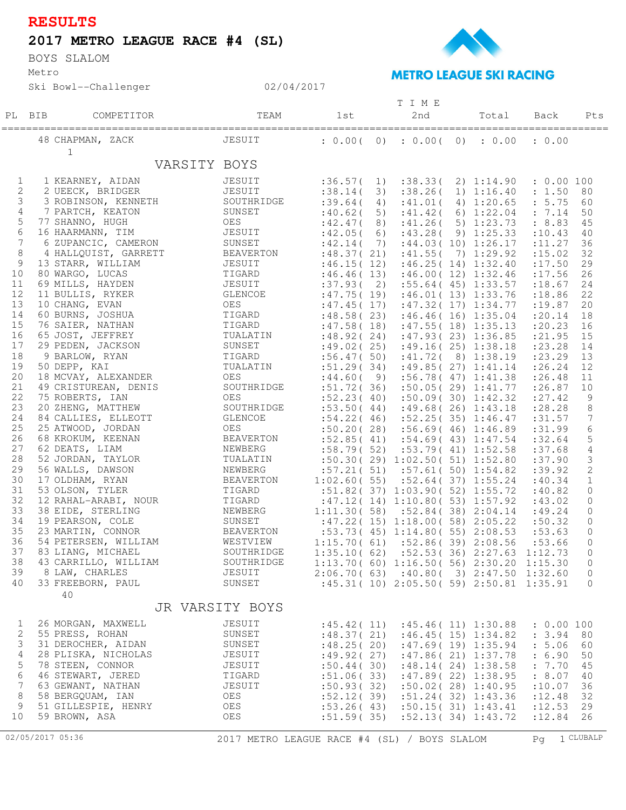## **RESULTS**

## **2017 METRO LEAGUE RACE #4 (SL)**

Metro BOYS SLALOM

Ski Bowl--Challenger



## **METRO LEAGUE SKI RACING**

|              |                      |                                              | T I M E     |    |                                                |  |                      |                    |                 |
|--------------|----------------------|----------------------------------------------|-------------|----|------------------------------------------------|--|----------------------|--------------------|-----------------|
| PL BIB       | COMPETITOR           | TEAM                                         | 1st         |    | 2nd                                            |  | Total                | Back               | Pts             |
|              |                      |                                              |             |    |                                                |  |                      |                    |                 |
|              | ===================  |                                              | ==========  |    | -------------                                  |  | __________           | ================== |                 |
|              | 48 CHAPMAN, ZACK     | JESUIT                                       |             |    | : 0.00(0) : 0.00(0) : 0.00                     |  |                      | : 0.00             |                 |
|              | $\mathbf 1$          |                                              |             |    |                                                |  |                      |                    |                 |
|              | VARSITY BOYS         |                                              |             |    |                                                |  |                      |                    |                 |
|              |                      |                                              |             |    |                                                |  |                      |                    |                 |
| $\mathbf{1}$ | 1 KEARNEY, AIDAN     | JESUIT                                       | :36.57(1)   |    |                                                |  | :38.33(2)1:14.90     | : 0.00 100         |                 |
| 2            | 2 UEECK, BRIDGER     | JESUIT                                       | : 38.14(    | 3) | : 38.26(                                       |  | 1) 1:16.40           | : 1.50             | 80              |
| 3            | 3 ROBINSON, KENNETH  | SOUTHRIDGE                                   | :39.64(     | 4) | :41.01(                                        |  | 4) 1:20.65           | : 5.75             | 60              |
| 4            | 7 PARTCH, KEATON     | SUNSET                                       | :40.62(     | 5) |                                                |  | :41.42(6)1:22.04     | : 7.14             | 50              |
| 5            | 77 SHANNO, HUGH      | OES                                          |             |    |                                                |  |                      |                    |                 |
|              |                      |                                              | :42.47(     | 8) |                                                |  | :41.26(5)1:23.73     | : 8.83             | 45              |
| 6            | 16 HAARMANN, TIM     | JESUIT                                       | :42.05(6)   |    |                                                |  | :43.28(9)1:25.33     | : 10.43            | 40              |
| 7            | 6 ZUPANCIC, CAMERON  | SUNSET                                       | :42.14(7)   |    |                                                |  | :44.03(10)1:26.17    | : 11.27            | 36              |
| 8            | 4 HALLQUIST, GARRETT | BEAVERTON                                    | :48.37(21)  |    |                                                |  | :41.55(7) 1:29.92    | : 15.02            | 32              |
| 9            | 13 STARR, WILLIAM    | JESUIT                                       | :46.15(12)  |    |                                                |  | :46.25(14)1:32.40    | : 17.50            | 29              |
| 10           | 80 WARGO, LUCAS      | TIGARD                                       | :46.46(13)  |    |                                                |  | :46.00(12)1:32.46    | : 17.56            | 26              |
| 11           | 69 MILLS, HAYDEN     | JESUIT                                       | :37.93(2)   |    |                                                |  | :55.64(45)1:33.57    | : 18.67            | 24              |
| 12           | 11 BULLIS, RYKER     | GLENCOE                                      | :47.75(19)  |    |                                                |  | :46.01(13)1:33.76    | :18.86             | 22              |
| 13           | 10 CHANG, EVAN       | OES                                          | :47.45(17)  |    |                                                |  | :47.32(17)1:34.77    | : 19.87            | 20              |
| 14           | 60 BURNS, JOSHUA     | TIGARD                                       | :48.58(23)  |    |                                                |  | :46.46(16)1:35.04    | : 20.14            | 18              |
| 15           | 76 SAIER, NATHAN     | TIGARD                                       | :47.58(18)  |    |                                                |  | :47.55(18)1:35.13    | : 20.23            | 16              |
| 16           | 65 JOST, JEFFREY     | TUALATIN                                     |             |    |                                                |  |                      |                    | 15              |
| 17           |                      |                                              |             |    | $:48.92(24)$ $:47.93(23)$ $1:36.85$            |  |                      | : 21.95            |                 |
|              | 29 PEDEN, JACKSON    | SUNSET                                       | :49.02(25)  |    |                                                |  | :49.16(25)1:38.18    | : 23.28            | 14              |
| 18           | 9 BARLOW, RYAN       | TIGARD                                       | :56.47(50)  |    |                                                |  | :41.72(8)1:38.19     | $: 23.29$ 13       |                 |
| 19           | 50 DEPP, KAI         | TUALATIN                                     | :51.29(34)  |    |                                                |  | :49.85(27)1:41.14    | : 26.24            | 12              |
| 20           | 18 MCVAY, ALEXANDER  | OES                                          | :44.60(9)   |    |                                                |  | :56.78(47)1:38       | : 26.48            | 11              |
| 21           | 49 CRISTUREAN, DENIS | SOUTHRIDGE                                   | :51.72(36)  |    |                                                |  | :50.05(29)1:41.77    | : 26.87            | 10              |
| 22           | 75 ROBERTS, IAN      | OES                                          | :52.23(40)  |    |                                                |  | :50.09(30)1:42.32    | : 27.42            | 9               |
| 23           | 20 ZHENG, MATTHEW    | SOUTHRIDGE                                   |             |    | $:53.50(44)$ $:49.68(26)$ $1:43.18$            |  |                      | : 28.28            | 8               |
| 24           | 84 CALLIES, ELLEOTT  | GLENCOE                                      | :54.22(46)  |    |                                                |  | :52.25(35)1:46.47    | :31.57             | $7\phantom{.0}$ |
| 25           | 25 ATWOOD, JORDAN    | OES                                          | :50.20(28)  |    |                                                |  | :56.69(46)1:36.89    | :31.99             | $\epsilon$      |
| 26           | 68 KROKUM, KEENAN    | BEAVERTON                                    |             |    | $:52.85(41)$ $:54.69(43)$ $1:47.54$            |  |                      | :32.64             | $\mathsf S$     |
| 27           | 62 DEATS, LIAM       | NEWBERG                                      | :58.79(52)  |    |                                                |  | :53.79(41)1:52.58    | :37.68             | 4               |
| 28           | 52 JORDAN, TAYLOR    | TUALATIN                                     |             |    | :50.30(29)1:02.50(51)1:52.80                   |  |                      | :37.90             | $\mathsf 3$     |
| 29           | 56 WALLS, DAWSON     | NEWBERG                                      |             |    | $:57.21(51)$ $:57.61(50)$ $1:54.82$            |  |                      | :39.92             | $\sqrt{2}$      |
| 30           | 17 OLDHAM, RYAN      | BEAVERTON                                    |             |    | $1:02.60(55)$ $:52.64(37)$ $1:55.24$           |  |                      | :40.34             | $\mathbf{1}$    |
| 31           | 53 OLSON, TYLER      | TIGARD                                       |             |    | :51.82(37)1:03.90(52)1:55.72                   |  |                      | :40.82             | $\overline{0}$  |
| 32           | 12 RAHAL-ARABI, NOUR | TIGARD                                       |             |    |                                                |  |                      |                    |                 |
| 33           |                      |                                              |             |    | :47.12(14)1:10.80(53)1:57.92                   |  |                      | :43.02             | $\circ$         |
| 34           | 38 EIDE, STERLING    | NEWBERG                                      |             |    | $1:11.30(58)$ $:52.84(38)$ $2:04.14$           |  |                      | :49.24             | $\circ$         |
|              | 19 PEARSON, COLE     | SUNSET                                       |             |    | :47.22(15)1:18.00(58)2:05.22                   |  |                      | :50.32             | $\circ$         |
| 35           | 23 MARTIN, CONNOR    | <b>BEAVERTON</b>                             |             |    | :53.73(45)1:14.80(55)2:08.53                   |  |                      | :53.63             | $\circ$         |
| 36           | 54 PETERSEN, WILLIAM | WESTVIEW                                     | 1:15.70(61) |    |                                                |  | $:52.86(39)$ 2:08.56 | :53.66             | $\mathbf{0}$    |
| 37           | 83 LIANG, MICHAEL    | SOUTHRIDGE                                   | 1:35.10(62) |    |                                                |  | :52.53(36)2:27.63    | 1:12.73            | $\mathbf{0}$    |
| 38           | 43 CARRILLO, WILLIAM | SOUTHRIDGE                                   |             |    | $1:13.70(60) 1:16.50(56) 2:30.20 1:15.30$      |  |                      |                    | 0               |
| 39           | 8 LAW, CHARLES       | JESUIT                                       |             |    | $2:06.70(63)$ : 40.80(3) 2:47.50 1:32.60       |  |                      |                    | 0               |
| 40           | 33 FREEBORN, PAUL    | SUNSET                                       |             |    | $:45.31(10)$ $2:05.50(59)$ $2:50.81$ $1:35.91$ |  |                      |                    | $\mathbf{0}$    |
|              | 40                   |                                              |             |    |                                                |  |                      |                    |                 |
|              |                      | JR VARSITY BOYS                              |             |    |                                                |  |                      |                    |                 |
|              |                      |                                              |             |    |                                                |  |                      |                    |                 |
| $\mathbf{1}$ | 26 MORGAN, MAXWELL   | JESUIT                                       | :45.42(11)  |    |                                                |  | :45.46(11)1:30.88    | : 0.00 100         |                 |
| 2            | 55 PRESS, ROHAN      | SUNSET                                       | :48.37(21)  |    |                                                |  | :46.45(15)1:34.82    | : 3.94             | 80              |
| 3            | 31 DEROCHER, AIDAN   | SUNSET                                       | :48.25(20)  |    |                                                |  | :47.69(19)1:35.94    | : 5.06             | 60              |
| 4            | 28 PLISKA, NICHOLAS  | JESUIT                                       | :49.92(27)  |    |                                                |  | :47.86(21)1:37.78    | : 6.90             | 50              |
| 5            | 78 STEEN, CONNOR     | JESUIT                                       | :50.44(30)  |    |                                                |  | :48.14(24)1:38.58    | : 7.70             | 45              |
| $\sqrt{6}$   | 46 STEWART, JERED    | TIGARD                                       | :51.06(33)  |    |                                                |  | :47.89(22)1:38.95    | : 8.07             | 40              |
| 7            | 63 GEWANT, NATHAN    | JESUIT                                       | :50.93(32)  |    |                                                |  | :50.02(28)1:30.95    | :10.07             | 36              |
| 8            | 58 BERGQUAM, IAN     | OES                                          | :52.12(39)  |    |                                                |  | :51.24(32)1:43.36    | :12.48             | 32              |
| 9            |                      | OES                                          |             |    |                                                |  |                      |                    |                 |
|              | 51 GILLESPIE, HENRY  |                                              | :53.26(43)  |    |                                                |  | :50.15(31)1:43.41    | :12.53             | 29              |
| 10           | 59 BROWN, ASA        | OES                                          | :51.59(35)  |    |                                                |  | :52.13(34)1:43.72    | : 12.84            | 26              |
|              |                      |                                              |             |    |                                                |  |                      |                    |                 |
|              | 02/05/2017 05:36     | 2017 METRO LEAGUE RACE #4 (SL) / BOYS SLALOM |             |    |                                                |  |                      | Pq                 | 1 CLUBALP       |

02/04/2017